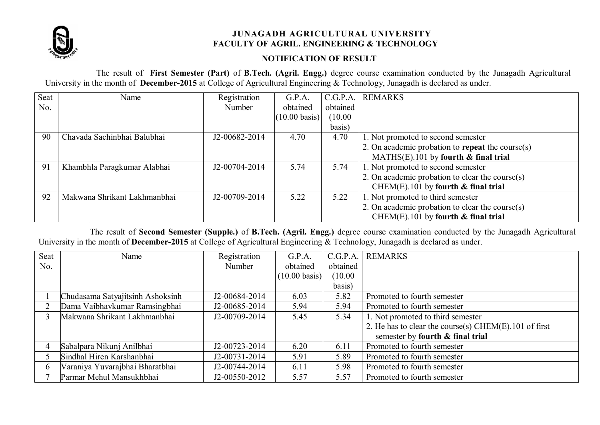

## **JUNAGADH AGRICULTURAL UNIVERSITY FACULTY OF AGRIL. ENGINEERING & TECHNOLOGY**

## **NOTIFICATION OF RESULT**

The result of **First Semester (Part)** of **B.Tech. (Agril. Engg.)** degree course examination conducted by the Junagadh Agricultural University in the month of **December-2015** at College of Agricultural Engineering & Technology, Junagadh is declared as under.

| Seat | Name                         | Registration  | G.P.A.                  | C.G.P.A. | <b>REMARKS</b>                                   |
|------|------------------------------|---------------|-------------------------|----------|--------------------------------------------------|
| No.  |                              | Number        | obtained                | obtained |                                                  |
|      |                              |               | $(10.00 \text{ basis})$ | (10.00)  |                                                  |
|      |                              |               |                         | basis)   |                                                  |
| 90   | Chavada Sachinbhai Balubhai  | J2-00682-2014 | 4.70                    | 4.70     | 1. Not promoted to second semester               |
|      |                              |               |                         |          | 2. On academic probation to repeat the course(s) |
|      |                              |               |                         |          | MATHS $(E)$ .101 by fourth $\&$ final trial      |
| 91   | Khambhla Paragkumar Alabhai  | J2-00704-2014 | 5.74                    | 5.74     | 1. Not promoted to second semester               |
|      |                              |               |                         |          | 2. On academic probation to clear the course(s)  |
|      |                              |               |                         |          | CHEM(E).101 by fourth $\&$ final trial           |
| 92   | Makwana Shrikant Lakhmanbhai | J2-00709-2014 | 5.22                    | 5.22     | 1. Not promoted to third semester                |
|      |                              |               |                         |          | 2. On academic probation to clear the course(s)  |
|      |                              |               |                         |          | CHEM(E).101 by fourth $\&$ final trial           |

The result of **Second Semester (Supple.)** of **B.Tech. (Agril. Engg.)** degree course examination conducted by the Junagadh Agricultural University in the month of **December-2015** at College of Agricultural Engineering & Technology, Junagadh is declared as under.

| Seat | Name                             | Registration  | G.P.A.                  | C.G.P.A. | <b>REMARKS</b>                                             |
|------|----------------------------------|---------------|-------------------------|----------|------------------------------------------------------------|
| No.  |                                  | Number        | obtained                | obtained |                                                            |
|      |                                  |               | $(10.00 \text{ basis})$ | (10.00)  |                                                            |
|      |                                  |               |                         | basis)   |                                                            |
|      | Chudasama Satyajitsinh Ashoksinh | J2-00684-2014 | 6.03                    | 5.82     | Promoted to fourth semester                                |
|      | Dama Vaibhavkumar Ramsingbhai    | J2-00685-2014 | 5.94                    | 5.94     | Promoted to fourth semester                                |
|      | Makwana Shrikant Lakhmanbhai     | J2-00709-2014 | 5.45                    | 5.34     | 1. Not promoted to third semester                          |
|      |                                  |               |                         |          | 2. He has to clear the course(s) CHEM $(E)$ . 101 of first |
|      |                                  |               |                         |          | semester by fourth $\&$ final trial                        |
|      | Sabalpara Nikunj Anilbhai        | J2-00723-2014 | 6.20                    | 6.11     | Promoted to fourth semester                                |
|      | Sindhal Hiren Karshanbhai        | J2-00731-2014 | 5.91                    | 5.89     | Promoted to fourth semester                                |
|      | Varaniya Yuvarajbhai Bharatbhai  | J2-00744-2014 | 6.11                    | 5.98     | Promoted to fourth semester                                |
|      | Parmar Mehul Mansukhbhai         | J2-00550-2012 | 5.57                    | 5.57     | Promoted to fourth semester                                |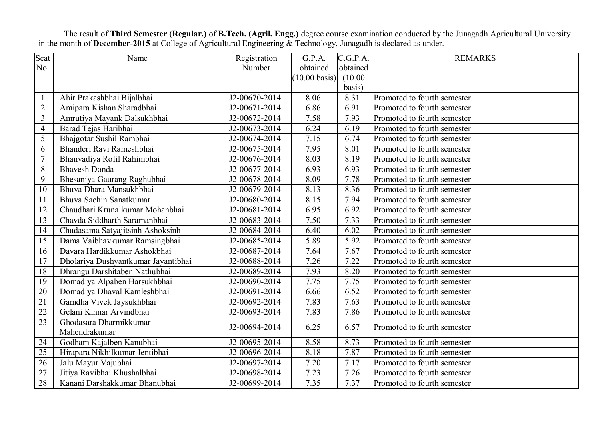The result of **Third Semester (Regular.)** of **B.Tech. (Agril. Engg.)** degree course examination conducted by the Junagadh Agricultural University in the month of **December-2015** at College of Agricultural Engineering & Technology, Junagadh is declared as under.

| Seat            | Name                                | Registration  | G.P.A.                  | C.G.P.A. | <b>REMARKS</b>              |
|-----------------|-------------------------------------|---------------|-------------------------|----------|-----------------------------|
| No.             |                                     | Number        | obtained                | obtained |                             |
|                 |                                     |               | $(10.00 \text{ basis})$ | (10.00)  |                             |
|                 |                                     |               |                         | basis)   |                             |
| $\mathbf{1}$    | Ahir Prakashbhai Bijalbhai          | J2-00670-2014 | 8.06                    | 8.31     | Promoted to fourth semester |
| $\overline{2}$  | Amipara Kishan Sharadbhai           | J2-00671-2014 | 6.86                    | 6.91     | Promoted to fourth semester |
| $\overline{3}$  | Amrutiya Mayank Dalsukhbhai         | J2-00672-2014 | 7.58                    | 7.93     | Promoted to fourth semester |
| $\overline{4}$  | Barad Tejas Haribhai                | J2-00673-2014 | 6.24                    | 6.19     | Promoted to fourth semester |
| 5               | Bhajgotar Sushil Rambhai            | J2-00674-2014 | 7.15                    | 6.74     | Promoted to fourth semester |
| 6               | Bhanderi Ravi Rameshbhai            | J2-00675-2014 | 7.95                    | 8.01     | Promoted to fourth semester |
| $\overline{7}$  | Bhanvadiya Rofil Rahimbhai          | J2-00676-2014 | 8.03                    | 8.19     | Promoted to fourth semester |
| 8               | <b>Bhavesh Donda</b>                | J2-00677-2014 | 6.93                    | 6.93     | Promoted to fourth semester |
| 9               | Bhesaniya Gaurang Raghubhai         | J2-00678-2014 | 8.09                    | 7.78     | Promoted to fourth semester |
| 10              | Bhuva Dhara Mansukhbhai             | J2-00679-2014 | 8.13                    | 8.36     | Promoted to fourth semester |
| 11              | Bhuva Sachin Sanatkumar             | J2-00680-2014 | 8.15                    | 7.94     | Promoted to fourth semester |
| 12              | Chaudhari Krunalkumar Mohanbhai     | J2-00681-2014 | 6.95                    | 6.92     | Promoted to fourth semester |
| 13              | Chavda Siddharth Saramanbhai        | J2-00683-2014 | 7.50                    | 7.33     | Promoted to fourth semester |
| 14              | Chudasama Satyajitsinh Ashoksinh    | J2-00684-2014 | 6.40                    | 6.02     | Promoted to fourth semester |
| 15              | Dama Vaibhavkumar Ramsingbhai       | J2-00685-2014 | 5.89                    | 5.92     | Promoted to fourth semester |
| 16              | Davara Hardikkumar Ashokbhai        | J2-00687-2014 | 7.64                    | 7.67     | Promoted to fourth semester |
| 17              | Dholariya Dushyantkumar Jayantibhai | J2-00688-2014 | 7.26                    | 7.22     | Promoted to fourth semester |
| 18              | Dhrangu Darshitaben Nathubhai       | J2-00689-2014 | 7.93                    | 8.20     | Promoted to fourth semester |
| 19              | Domadiya Alpaben Harsukhbhai        | J2-00690-2014 | 7.75                    | 7.75     | Promoted to fourth semester |
| 20              | Domadiya Dhaval Kamleshbhai         | J2-00691-2014 | 6.66                    | 6.52     | Promoted to fourth semester |
| $\overline{21}$ | Gamdha Vivek Jaysukhbhai            | J2-00692-2014 | 7.83                    | 7.63     | Promoted to fourth semester |
| 22              | Gelani Kinnar Arvindbhai            | J2-00693-2014 | 7.83                    | 7.86     | Promoted to fourth semester |
| 23              | Ghodasara Dharmikkumar              |               |                         |          |                             |
|                 | Mahendrakumar                       | J2-00694-2014 | 6.25                    | 6.57     | Promoted to fourth semester |
| 24              | Godham Kajalben Kanubhai            | J2-00695-2014 | 8.58                    | 8.73     | Promoted to fourth semester |
| 25              | Hirapara Nikhilkumar Jentibhai      | J2-00696-2014 | 8.18                    | 7.87     | Promoted to fourth semester |
| 26              | Jalu Mayur Vajubhai                 | J2-00697-2014 | 7.20                    | 7.17     | Promoted to fourth semester |
| 27              | Jitiya Ravibhai Khushalbhai         | J2-00698-2014 | 7.23                    | 7.26     | Promoted to fourth semester |
| 28              | Kanani Darshakkumar Bhanubhai       | J2-00699-2014 | 7.35                    | 7.37     | Promoted to fourth semester |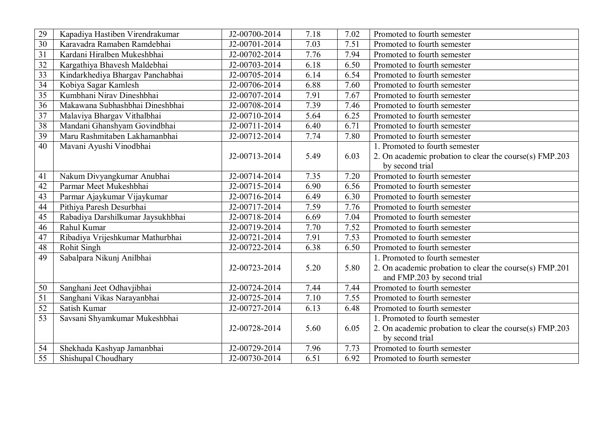| 29 | Kapadiya Hastiben Virendrakumar   | J2-00700-2014               | 7.18 | 7.02 | Promoted to fourth semester                                                            |
|----|-----------------------------------|-----------------------------|------|------|----------------------------------------------------------------------------------------|
| 30 | Karavadra Ramaben Ramdebhai       | J2-00701-2014               | 7.03 | 7.51 | Promoted to fourth semester                                                            |
| 31 | Kardani Hiralben Mukeshbhai       | J2-00702-2014               | 7.76 | 7.94 | Promoted to fourth semester                                                            |
| 32 | Kargathiya Bhavesh Maldebhai      | J2-00703-2014               | 6.18 | 6.50 | Promoted to fourth semester                                                            |
| 33 | Kindarkhediya Bhargav Panchabhai  | J2-00705-2014               | 6.14 | 6.54 | Promoted to fourth semester                                                            |
| 34 | Kobiya Sagar Kamlesh              | $\overline{J2}$ -00706-2014 | 6.88 | 7.60 | Promoted to fourth semester                                                            |
| 35 | Kumbhani Nirav Dineshbhai         | J2-00707-2014               | 7.91 | 7.67 | Promoted to fourth semester                                                            |
| 36 | Makawana Subhashbhai Dineshbhai   | J2-00708-2014               | 7.39 | 7.46 | Promoted to fourth semester                                                            |
| 37 | Malaviya Bhargav Vithalbhai       | J2-00710-2014               | 5.64 | 6.25 | Promoted to fourth semester                                                            |
| 38 | Mandani Ghanshyam Govindbhai      | J2-00711-2014               | 6.40 | 6.71 | Promoted to fourth semester                                                            |
| 39 | Maru Rashmitaben Lakhamanbhai     | J2-00712-2014               | 7.74 | 7.80 | Promoted to fourth semester                                                            |
| 40 | Mavani Ayushi Vinodbhai           |                             |      |      | 1. Promoted to fourth semester                                                         |
|    |                                   | J2-00713-2014               | 5.49 | 6.03 | 2. On academic probation to clear the course(s) FMP.203                                |
|    |                                   |                             |      |      | by second trial                                                                        |
| 41 | Nakum Divyangkumar Anubhai        | J2-00714-2014               | 7.35 | 7.20 | Promoted to fourth semester                                                            |
| 42 | Parmar Meet Mukeshbhai            | J2-00715-2014               | 6.90 | 6.56 | Promoted to fourth semester                                                            |
| 43 | Parmar Ajaykumar Vijaykumar       | J2-00716-2014               | 6.49 | 6.30 | Promoted to fourth semester                                                            |
| 44 | Pithiya Paresh Desurbhai          | J2-00717-2014               | 7.59 | 7.76 | Promoted to fourth semester                                                            |
| 45 | Rabadiya Darshilkumar Jaysukhbhai | J2-00718-2014               | 6.69 | 7.04 | Promoted to fourth semester                                                            |
| 46 | Rahul Kumar                       | J2-00719-2014               | 7.70 | 7.52 | Promoted to fourth semester                                                            |
| 47 | Ribadiya Vrijeshkumar Mathurbhai  | J2-00721-2014               | 7.91 | 7.53 | Promoted to fourth semester                                                            |
| 48 | <b>Rohit Singh</b>                | J2-00722-2014               | 6.38 | 6.50 | Promoted to fourth semester                                                            |
| 49 | Sabalpara Nikunj Anilbhai         |                             |      |      | 1. Promoted to fourth semester                                                         |
|    |                                   | J2-00723-2014               | 5.20 | 5.80 | 2. On academic probation to clear the course(s) FMP.201<br>and FMP.203 by second trial |
| 50 | Sanghani Jeet Odhavjibhai         | J2-00724-2014               | 7.44 | 7.44 | Promoted to fourth semester                                                            |
| 51 | Sanghani Vikas Narayanbhai        | J2-00725-2014               | 7.10 | 7.55 | Promoted to fourth semester                                                            |
| 52 | Satish Kumar                      | J2-00727-2014               | 6.13 | 6.48 | Promoted to fourth semester                                                            |
| 53 | Savsani Shyamkumar Mukeshbhai     |                             |      |      | 1. Promoted to fourth semester                                                         |
|    |                                   | J2-00728-2014               | 5.60 | 6.05 | 2. On academic probation to clear the course(s) FMP.203                                |
|    |                                   |                             |      |      | by second trial                                                                        |
| 54 | Shekhada Kashyap Jamanbhai        | J2-00729-2014               | 7.96 | 7.73 | Promoted to fourth semester                                                            |
| 55 | Shishupal Choudhary               | J2-00730-2014               | 6.51 | 6.92 | Promoted to fourth semester                                                            |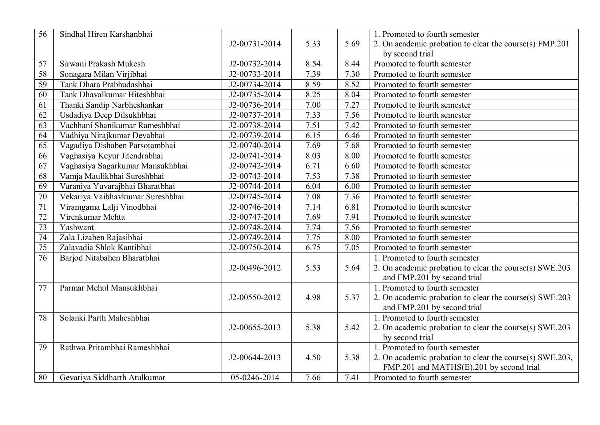| $\overline{56}$ | Sindhal Hiren Karshanbhai        |               |      |      | 1. Promoted to fourth semester                           |
|-----------------|----------------------------------|---------------|------|------|----------------------------------------------------------|
|                 |                                  | J2-00731-2014 | 5.33 | 5.69 | 2. On academic probation to clear the course(s) FMP.201  |
|                 |                                  |               |      |      | by second trial                                          |
| 57              | Sirwani Prakash Mukesh           | J2-00732-2014 | 8.54 | 8.44 | Promoted to fourth semester                              |
| 58              | Sonagara Milan Virjibhai         | J2-00733-2014 | 7.39 | 7.30 | Promoted to fourth semester                              |
| 59              | Tank Dhara Prabhudasbhai         | J2-00734-2014 | 8.59 | 8.52 | Promoted to fourth semester                              |
| 60              | Tank Dhavalkumar Hiteshbhai      | J2-00735-2014 | 8.25 | 8.04 | Promoted to fourth semester                              |
| 61              | Thanki Sandip Narbheshankar      | J2-00736-2014 | 7.00 | 7.27 | Promoted to fourth semester                              |
| 62              | Usdadiya Deep Dilsukhbhai        | J2-00737-2014 | 7.33 | 7.56 | Promoted to fourth semester                              |
| 63              | Vachhani Shanikumar Rameshbhai   | J2-00738-2014 | 7.51 | 7.42 | Promoted to fourth semester                              |
| 64              | Vadhiya Nirajkumar Devabhai      | J2-00739-2014 | 6.15 | 6.46 | Promoted to fourth semester                              |
| 65              | Vagadiya Dishaben Parsotambhai   | J2-00740-2014 | 7.69 | 7.68 | Promoted to fourth semester                              |
| 66              | Vaghasiya Keyur Jitendrabhai     | J2-00741-2014 | 8.03 | 8.00 | Promoted to fourth semester                              |
| 67              | Vaghasiya Sagarkumar Mansukhbhai | J2-00742-2014 | 6.71 | 6.60 | Promoted to fourth semester                              |
| 68              | Vamja Maulikbhai Sureshbhai      | J2-00743-2014 | 7.53 | 7.38 | Promoted to fourth semester                              |
| 69              | Varaniya Yuvarajbhai Bharatbhai  | J2-00744-2014 | 6.04 | 6.00 | Promoted to fourth semester                              |
| 70              | Vekariya Vaibhavkumar Sureshbhai | J2-00745-2014 | 7.08 | 7.36 | Promoted to fourth semester                              |
| $\overline{71}$ | Viramgama Lalji Vinodbhai        | J2-00746-2014 | 7.14 | 6.81 | Promoted to fourth semester                              |
| 72              | Virenkumar Mehta                 | J2-00747-2014 | 7.69 | 7.91 | Promoted to fourth semester                              |
| 73              | Yashwant                         | J2-00748-2014 | 7.74 | 7.56 | Promoted to fourth semester                              |
| $\overline{74}$ | Zala Lizaben Rajasibhai          | J2-00749-2014 | 7.75 | 8.00 | Promoted to fourth semester                              |
| 75              | Zalavadia Shlok Kantibhai        | J2-00750-2014 | 6.75 | 7.05 | Promoted to fourth semester                              |
| 76              | Barjod Nitabahen Bharatbhai      |               |      |      | 1. Promoted to fourth semester                           |
|                 |                                  | J2-00496-2012 | 5.53 | 5.64 | 2. On academic probation to clear the course(s) SWE.203  |
|                 |                                  |               |      |      | and FMP.201 by second trial                              |
| 77              | Parmar Mehul Mansukhbhai         |               |      |      | 1. Promoted to fourth semester                           |
|                 |                                  | J2-00550-2012 | 4.98 | 5.37 | 2. On academic probation to clear the course(s) SWE.203  |
|                 |                                  |               |      |      | and FMP.201 by second trial                              |
| 78              | Solanki Parth Maheshbhai         |               |      |      | 1. Promoted to fourth semester                           |
|                 |                                  | J2-00655-2013 | 5.38 | 5.42 | 2. On academic probation to clear the course(s) SWE.203  |
|                 |                                  |               |      |      | by second trial                                          |
| 79              | Rathwa Pritambhai Rameshbhai     |               |      |      | 1. Promoted to fourth semester                           |
|                 |                                  | J2-00644-2013 | 4.50 | 5.38 | 2. On academic probation to clear the course(s) SWE.203, |
|                 |                                  |               |      |      | FMP.201 and MATHS(E).201 by second trial                 |
| 80              | Gevariya Siddharth Atulkumar     | 05-0246-2014  | 7.66 | 7.41 | Promoted to fourth semester                              |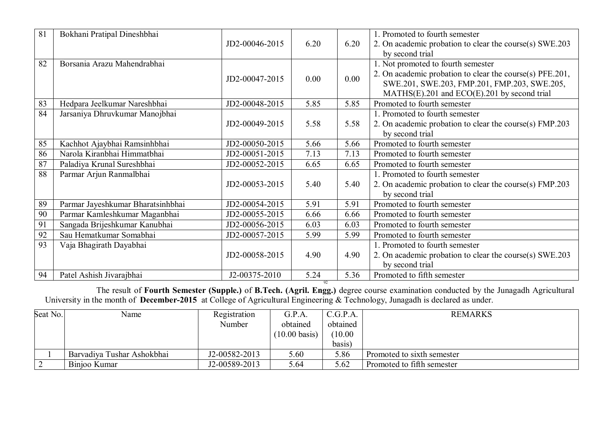| 81 | Bokhani Pratipal Dineshbhai       |                |      |      | 1. Promoted to fourth semester                                                                                                     |
|----|-----------------------------------|----------------|------|------|------------------------------------------------------------------------------------------------------------------------------------|
|    |                                   | JD2-00046-2015 | 6.20 | 6.20 | 2. On academic probation to clear the course(s) SWE.203                                                                            |
|    |                                   |                |      |      | by second trial                                                                                                                    |
| 82 | Borsania Arazu Mahendrabhai       |                |      |      | 1. Not promoted to fourth semester                                                                                                 |
|    |                                   | JD2-00047-2015 | 0.00 | 0.00 | 2. On academic probation to clear the course(s) PFE.201,                                                                           |
|    |                                   |                |      |      | SWE.201, SWE.203, FMP.201, FMP.203, SWE.205,                                                                                       |
|    |                                   |                |      |      | $MATHS(E).201$ and $ECO(E).201$ by second trial                                                                                    |
| 83 | Hedpara Jeelkumar Nareshbhai      | JD2-00048-2015 | 5.85 | 5.85 | Promoted to fourth semester                                                                                                        |
| 84 | Jarsaniya Dhruvkumar Manojbhai    |                |      |      | 1. Promoted to fourth semester                                                                                                     |
|    |                                   | JD2-00049-2015 | 5.58 | 5.58 | 2. On academic probation to clear the course(s) FMP.203                                                                            |
|    |                                   |                |      |      | by second trial                                                                                                                    |
| 85 | Kachhot Ajaybhai Ramsinhbhai      | JD2-00050-2015 | 5.66 | 5.66 | Promoted to fourth semester                                                                                                        |
| 86 | Narola Kiranbhai Himmatbhai       | JD2-00051-2015 | 7.13 | 7.13 | Promoted to fourth semester                                                                                                        |
| 87 | Paladiya Krunal Sureshbhai        | JD2-00052-2015 | 6.65 | 6.65 | Promoted to fourth semester                                                                                                        |
| 88 | Parmar Arjun Ranmalbhai           |                |      |      | 1. Promoted to fourth semester                                                                                                     |
|    |                                   | JD2-00053-2015 | 5.40 | 5.40 | 2. On academic probation to clear the course(s) FMP.203                                                                            |
|    |                                   |                |      |      | by second trial                                                                                                                    |
| 89 | Parmar Jayeshkumar Bharatsinhbhai | JD2-00054-2015 | 5.91 | 5.91 | Promoted to fourth semester                                                                                                        |
| 90 | Parmar Kamleshkumar Maganbhai     | JD2-00055-2015 | 6.66 | 6.66 | Promoted to fourth semester                                                                                                        |
| 91 | Sangada Brijeshkumar Kanubhai     | JD2-00056-2015 | 6.03 | 6.03 | Promoted to fourth semester                                                                                                        |
| 92 | Sau Hematkumar Somabhai           | JD2-00057-2015 | 5.99 | 5.99 | Promoted to fourth semester                                                                                                        |
| 93 | Vaja Bhagirath Dayabhai           |                |      |      | 1. Promoted to fourth semester                                                                                                     |
|    |                                   | JD2-00058-2015 | 4.90 | 4.90 | 2. On academic probation to clear the course(s) SWE.203                                                                            |
|    |                                   |                |      |      | by second trial                                                                                                                    |
| 94 | Patel Ashish Jivarajbhai          | J2-00375-2010  | 5.24 | 5.36 | Promoted to fifth semester                                                                                                         |
|    |                                   |                |      |      | The result of Fourth Semester (Supple.) of B.Tech. (Agril. Engg.) degree course examination conducted by the Junagadh Agricultural |

University in the month of **December-2015** at College of Agricultural Engineering & Technology, Junagadh is declared as under.

| Seat No. | Name                       | Registration  | G.P.A.                  | C.G.P.A. | <b>REMARKS</b>             |
|----------|----------------------------|---------------|-------------------------|----------|----------------------------|
|          |                            | <b>Number</b> | obtained                | obtained |                            |
|          |                            |               | $(10.00 \text{ basis})$ | (10.00)  |                            |
|          |                            |               |                         | basis)   |                            |
|          | Barvadiya Tushar Ashokbhai | J2-00582-2013 | 5.60                    | 5.86     | Promoted to sixth semester |
|          | Binjoo Kumar               | J2-00589-2013 | 5.64                    | 5.62     | Promoted to fifth semester |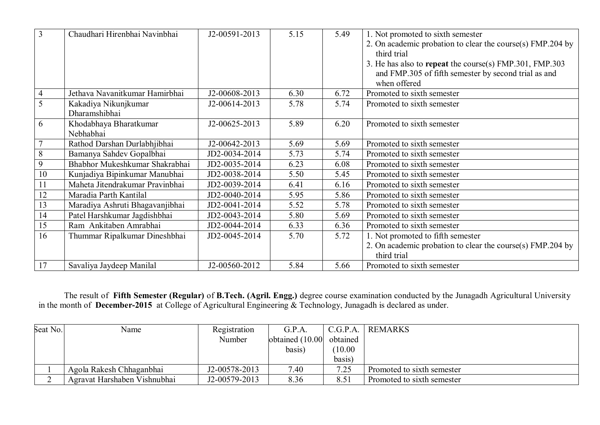| $\overline{3}$ | Chaudhari Hirenbhai Navinbhai   | J2-00591-2013 | 5.15 | 5.49 | 1. Not promoted to sixth semester                          |
|----------------|---------------------------------|---------------|------|------|------------------------------------------------------------|
|                |                                 |               |      |      | 2. On academic probation to clear the course(s) FMP.204 by |
|                |                                 |               |      |      | third trial                                                |
|                |                                 |               |      |      | 3. He has also to repeat the course(s) FMP.301, FMP.303    |
|                |                                 |               |      |      | and FMP.305 of fifth semester by second trial as and       |
|                |                                 |               |      |      | when offered                                               |
| $\overline{4}$ | Jethava Navanitkumar Hamirbhai  | J2-00608-2013 | 6.30 | 6.72 | Promoted to sixth semester                                 |
| $\overline{5}$ | Kakadiya Nikunjkumar            | J2-00614-2013 | 5.78 | 5.74 | Promoted to sixth semester                                 |
|                | Dharamshibhai                   |               |      |      |                                                            |
| 6              | Khodabhaya Bharatkumar          | J2-00625-2013 | 5.89 | 6.20 | Promoted to sixth semester                                 |
|                | Nebhabhai                       |               |      |      |                                                            |
|                | Rathod Darshan Durlabhjibhai    | J2-00642-2013 | 5.69 | 5.69 | Promoted to sixth semester                                 |
| $\,8\,$        | Bamanya Sahdev Gopalbhai        | JD2-0034-2014 | 5.73 | 5.74 | Promoted to sixth semester                                 |
| 9              | Bhabhor Mukeshkumar Shakrabhai  | JD2-0035-2014 | 6.23 | 6.08 | Promoted to sixth semester                                 |
| 10             | Kunjadiya Bipinkumar Manubhai   | JD2-0038-2014 | 5.50 | 5.45 | Promoted to sixth semester                                 |
| 11             | Maheta Jitendrakumar Pravinbhai | JD2-0039-2014 | 6.41 | 6.16 | Promoted to sixth semester                                 |
| 12             | Maradia Parth Kantilal          | JD2-0040-2014 | 5.95 | 5.86 | Promoted to sixth semester                                 |
| 13             | Maradiya Ashruti Bhagavanjibhai | JD2-0041-2014 | 5.52 | 5.78 | Promoted to sixth semester                                 |
| 14             | Patel Harshkumar Jagdishbhai    | JD2-0043-2014 | 5.80 | 5.69 | Promoted to sixth semester                                 |
| 15             | Ram Ankitaben Amrabhai          | JD2-0044-2014 | 6.33 | 6.36 | Promoted to sixth semester                                 |
| 16             | Thummar Ripalkumar Dineshbhai   | JD2-0045-2014 | 5.70 | 5.72 | 1. Not promoted to fifth semester                          |
|                |                                 |               |      |      | 2. On academic probation to clear the course(s) FMP.204 by |
|                |                                 |               |      |      | third trial                                                |
| 17             | Savaliya Jaydeep Manilal        | J2-00560-2012 | 5.84 | 5.66 | Promoted to sixth semester                                 |

The result of **Fifth Semester (Regular)** of **B.Tech. (Agril. Engg.)** degree course examination conducted by the Junagadh Agricultural University in the month of **December-2015** at College of Agricultural Engineering & Technology, Junagadh is declared as under.

| Seat No. | Name                         | Registration  | G.P.A.             | C.G.P.A. | REMARKS                    |
|----------|------------------------------|---------------|--------------------|----------|----------------------------|
|          |                              | Number        | obtained $(10.00)$ | obtained |                            |
|          |                              |               | basis)             | (10.00)  |                            |
|          |                              |               |                    | basis)   |                            |
|          | Agola Rakesh Chhaganbhai     | J2-00578-2013 | 7.40               | 7.25     | Promoted to sixth semester |
|          | Agravat Harshaben Vishnubhai | J2-00579-2013 | 8.36               | 8.51     | Promoted to sixth semester |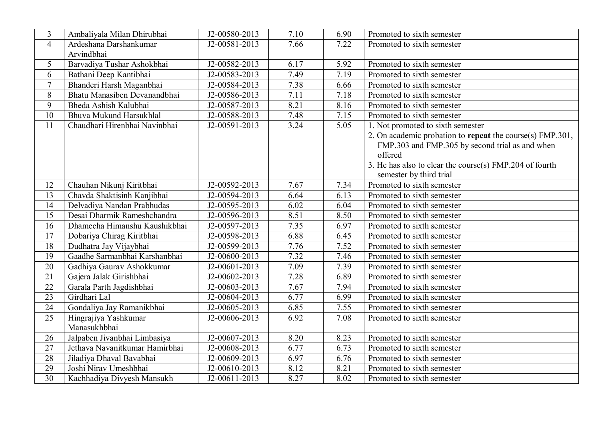| 3               | Ambaliyala Milan Dhirubhai     | J2-00580-2013 | 7.10 | 6.90 | Promoted to sixth semester                                |
|-----------------|--------------------------------|---------------|------|------|-----------------------------------------------------------|
| $\overline{4}$  | Ardeshana Darshankumar         | J2-00581-2013 | 7.66 | 7.22 | Promoted to sixth semester                                |
|                 | Arvindbhai                     |               |      |      |                                                           |
| 5               | Barvadiya Tushar Ashokbhai     | J2-00582-2013 | 6.17 | 5.92 | Promoted to sixth semester                                |
| 6               | Bathani Deep Kantibhai         | J2-00583-2013 | 7.49 | 7.19 | Promoted to sixth semester                                |
| $\overline{7}$  | Bhanderi Harsh Maganbhai       | J2-00584-2013 | 7.38 | 6.66 | Promoted to sixth semester                                |
| 8               | Bhatu Manasiben Devanandbhai   | J2-00586-2013 | 7.11 | 7.18 | Promoted to sixth semester                                |
| 9               | Bheda Ashish Kalubhai          | J2-00587-2013 | 8.21 | 8.16 | Promoted to sixth semester                                |
| 10              | Bhuva Mukund Harsukhlal        | J2-00588-2013 | 7.48 | 7.15 | Promoted to sixth semester                                |
| 11              | Chaudhari Hirenbhai Navinbhai  | J2-00591-2013 | 3.24 | 5.05 | 1. Not promoted to sixth semester                         |
|                 |                                |               |      |      | 2. On academic probation to repeat the course(s) FMP.301, |
|                 |                                |               |      |      | FMP.303 and FMP.305 by second trial as and when           |
|                 |                                |               |      |      | offered                                                   |
|                 |                                |               |      |      | 3. He has also to clear the course(s) FMP.204 of fourth   |
|                 |                                |               |      |      | semester by third trial                                   |
| 12              | Chauhan Nikunj Kiritbhai       | J2-00592-2013 | 7.67 | 7.34 | Promoted to sixth semester                                |
| 13              | Chavda Shaktisinh Kanjibhai    | J2-00594-2013 | 6.64 | 6.13 | Promoted to sixth semester                                |
| 14              | Delvadiya Nandan Prabhudas     | J2-00595-2013 | 6.02 | 6.04 | Promoted to sixth semester                                |
| 15              | Desai Dharmik Rameshchandra    | J2-00596-2013 | 8.51 | 8.50 | Promoted to sixth semester                                |
| 16              | Dhamecha Himanshu Kaushikbhai  | J2-00597-2013 | 7.35 | 6.97 | Promoted to sixth semester                                |
| 17              | Dobariya Chirag Kiritbhai      | J2-00598-2013 | 6.88 | 6.45 | Promoted to sixth semester                                |
| 18              | Dudhatra Jay Vijaybhai         | J2-00599-2013 | 7.76 | 7.52 | Promoted to sixth semester                                |
| 19              | Gaadhe Sarmanbhai Karshanbhai  | J2-00600-2013 | 7.32 | 7.46 | Promoted to sixth semester                                |
| 20              | Gadhiya Gaurav Ashokkumar      | J2-00601-2013 | 7.09 | 7.39 | Promoted to sixth semester                                |
| 21              | Gajera Jalak Girishbhai        | J2-00602-2013 | 7.28 | 6.89 | Promoted to sixth semester                                |
| 22              | Garala Parth Jagdishbhai       | J2-00603-2013 | 7.67 | 7.94 | Promoted to sixth semester                                |
| 23              | Girdhari Lal                   | J2-00604-2013 | 6.77 | 6.99 | Promoted to sixth semester                                |
| 24              | Gondaliya Jay Ramanikbhai      | J2-00605-2013 | 6.85 | 7.55 | Promoted to sixth semester                                |
| 25              | Hingrajiya Yashkumar           | J2-00606-2013 | 6.92 | 7.08 | Promoted to sixth semester                                |
|                 | Manasukhbhai                   |               |      |      |                                                           |
| 26              | Jalpaben Jivanbhai Limbasiya   | J2-00607-2013 | 8.20 | 8.23 | Promoted to sixth semester                                |
| 27              | Jethava Navanitkumar Hamirbhai | J2-00608-2013 | 6.77 | 6.73 | Promoted to sixth semester                                |
| 28              | Jiladiya Dhaval Bavabhai       | J2-00609-2013 | 6.97 | 6.76 | Promoted to sixth semester                                |
| 29              | Joshi Nirav Umeshbhai          | J2-00610-2013 | 8.12 | 8.21 | Promoted to sixth semester                                |
| $\overline{30}$ | Kachhadiya Divyesh Mansukh     | J2-00611-2013 | 8.27 | 8.02 | Promoted to sixth semester                                |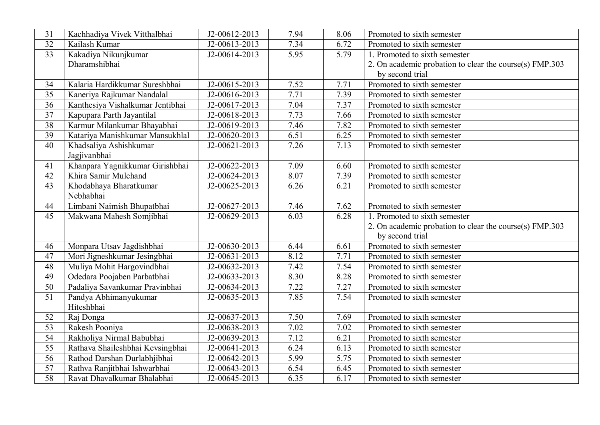| 31              | Kachhadiya Vivek Vitthalbhai     | J2-00612-2013               | 7.94 | 8.06 | Promoted to sixth semester                              |
|-----------------|----------------------------------|-----------------------------|------|------|---------------------------------------------------------|
| 32              | Kailash Kumar                    | J2-00613-2013               | 7.34 | 6.72 | Promoted to sixth semester                              |
| $\overline{33}$ | Kakadiya Nikunjkumar             | J2-00614-2013               | 5.95 | 5.79 | 1. Promoted to sixth semester                           |
|                 | Dharamshibhai                    |                             |      |      | 2. On academic probation to clear the course(s) FMP.303 |
|                 |                                  |                             |      |      | by second trial                                         |
| 34              | Kalaria Hardikkumar Sureshbhai   | J2-00615-2013               | 7.52 | 7.71 | Promoted to sixth semester                              |
| $\overline{35}$ | Kaneriya Rajkumar Nandalal       | J2-00616-2013               | 7.71 | 7.39 | Promoted to sixth semester                              |
| 36              | Kanthesiya Vishalkumar Jentibhai | J2-00617-2013               | 7.04 | 7.37 | Promoted to sixth semester                              |
| 37              | Kapupara Parth Jayantilal        | J2-00618-2013               | 7.73 | 7.66 | Promoted to sixth semester                              |
| $\overline{38}$ | Karmur Milankumar Bhayabhai      | J2-00619-2013               | 7.46 | 7.82 | Promoted to sixth semester                              |
| 39              | Katariya Manishkumar Mansukhlal  | J2-00620-2013               | 6.51 | 6.25 | Promoted to sixth semester                              |
| $\overline{40}$ | Khadsaliya Ashishkumar           | $\overline{J2}$ -00621-2013 | 7.26 | 7.13 | Promoted to sixth semester                              |
|                 | Jagjivanbhai                     |                             |      |      |                                                         |
| 41              | Khanpara Yagnikkumar Girishbhai  | J2-00622-2013               | 7.09 | 6.60 | Promoted to sixth semester                              |
| 42              | Khira Samir Mulchand             | $\overline{J2-0062}4-2013$  | 8.07 | 7.39 | Promoted to sixth semester                              |
| 43              | Khodabhaya Bharatkumar           | J2-00625-2013               | 6.26 | 6.21 | Promoted to sixth semester                              |
|                 | Nebhabhai                        |                             |      |      |                                                         |
| 44              | Limbani Naimish Bhupatbhai       | J2-00627-2013               | 7.46 | 7.62 | Promoted to sixth semester                              |
| 45              | Makwana Mahesh Somjibhai         | J2-00629-2013               | 6.03 | 6.28 | 1. Promoted to sixth semester                           |
|                 |                                  |                             |      |      | 2. On academic probation to clear the course(s) FMP.303 |
|                 |                                  |                             |      |      | by second trial                                         |
| 46              | Monpara Utsav Jagdishbhai        | J2-00630-2013               | 6.44 | 6.61 | Promoted to sixth semester                              |
| 47              | Mori Jigneshkumar Jesingbhai     | $\overline{J2-0063}$ 1-2013 | 8.12 | 7.71 | Promoted to sixth semester                              |
| 48              | Muliya Mohit Hargovindbhai       | J2-00632-2013               | 7.42 | 7.54 | Promoted to sixth semester                              |
| 49              | Odedara Poojaben Parbatbhai      | J2-00633-2013               | 8.30 | 8.28 | Promoted to sixth semester                              |
| 50              | Padaliya Savankumar Pravinbhai   | $\overline{J2}$ -00634-2013 | 7.22 | 7.27 | Promoted to sixth semester                              |
| 51              | Pandya Abhimanyukumar            | J2-00635-2013               | 7.85 | 7.54 | Promoted to sixth semester                              |
|                 | Hiteshbhai                       |                             |      |      |                                                         |
| 52              | Raj Donga                        | J2-00637-2013               | 7.50 | 7.69 | Promoted to sixth semester                              |
| $\overline{53}$ | Rakesh Pooniya                   | J2-00638-2013               | 7.02 | 7.02 | Promoted to sixth semester                              |
| 54              | Rakholiya Nirmal Babubhai        | J2-00639-2013               | 7.12 | 6.21 | Promoted to sixth semester                              |
| $\overline{55}$ | Rathava Shaileshbhai Kevsingbhai | J2-00641-2013               | 6.24 | 6.13 | Promoted to sixth semester                              |
| $\overline{56}$ | Rathod Darshan Durlabhjibhai     | J2-00642-2013               | 5.99 | 5.75 | Promoted to sixth semester                              |
| 57              | Rathva Ranjitbhai Ishwarbhai     | J2-00643-2013               | 6.54 | 6.45 | Promoted to sixth semester                              |
| $\overline{58}$ | Ravat Dhavalkumar Bhalabhai      | J2-00645-2013               | 6.35 | 6.17 | Promoted to sixth semester                              |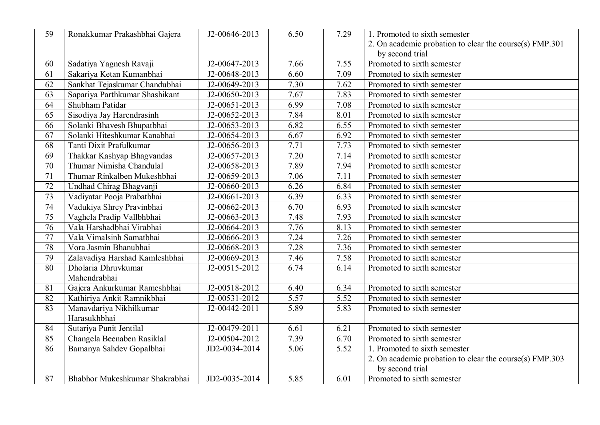| $\overline{59}$ | Ronakkumar Prakashbhai Gajera  | J2-00646-2013               | 6.50              | 7.29 | 1. Promoted to sixth semester                           |
|-----------------|--------------------------------|-----------------------------|-------------------|------|---------------------------------------------------------|
|                 |                                |                             |                   |      | 2. On academic probation to clear the course(s) FMP.301 |
|                 |                                |                             |                   |      | by second trial                                         |
| 60              | Sadatiya Yagnesh Ravaji        | J2-00647-2013               | 7.66              | 7.55 | Promoted to sixth semester                              |
| 61              | Sakariya Ketan Kumanbhai       | J2-00648-2013               | 6.60              | 7.09 | Promoted to sixth semester                              |
| 62              | Sankhat Tejaskumar Chandubhai  | J2-00649-2013               | 7.30              | 7.62 | Promoted to sixth semester                              |
| 63              | Sapariya Parthkumar Shashikant | J2-00650-2013               | 7.67              | 7.83 | Promoted to sixth semester                              |
| 64              | Shubham Patidar                | J2-00651-2013               | 6.99              | 7.08 | Promoted to sixth semester                              |
| 65              | Sisodiya Jay Harendrasinh      | J2-00652-2013               | 7.84              | 8.01 | Promoted to sixth semester                              |
| 66              | Solanki Bhavesh Bhupatbhai     | J2-00653-2013               | 6.82              | 6.55 | Promoted to sixth semester                              |
| 67              | Solanki Hiteshkumar Kanabhai   | J2-00654-2013               | 6.67              | 6.92 | Promoted to sixth semester                              |
| $\overline{68}$ | Tanti Dixit Prafulkumar        | J2-00656-2013               | 7.71              | 7.73 | Promoted to sixth semester                              |
| 69              | Thakkar Kashyap Bhagvandas     | J2-00657-2013               | 7.20              | 7.14 | Promoted to sixth semester                              |
| 70              | Thumar Nimisha Chandulal       | J2-00658-2013               | 7.89              | 7.94 | Promoted to sixth semester                              |
| $\overline{71}$ | Thumar Rinkalben Mukeshbhai    | J2-00659-2013               | 7.06              | 7.11 | Promoted to sixth semester                              |
| 72              | Undhad Chirag Bhagvanji        | J2-00660-2013               | 6.26              | 6.84 | Promoted to sixth semester                              |
| $\overline{73}$ | Vadiyatar Pooja Prabatbhai     | J2-00661-2013               | 6.39              | 6.33 | Promoted to sixth semester                              |
| $\overline{74}$ | Vadukiya Shrey Pravinbhai      | J2-00662-2013               | 6.70              | 6.93 | Promoted to sixth semester                              |
| $\overline{75}$ | Vaghela Pradip Vallbhbhai      | J2-00663-2013               | 7.48              | 7.93 | Promoted to sixth semester                              |
| 76              | Vala Harshadbhai Virabhai      | J2-00664-2013               | 7.76              | 8.13 | Promoted to sixth semester                              |
| 77              | Vala Vimalsinh Samatbhai       | J2-00666-2013               | 7.24              | 7.26 | Promoted to sixth semester                              |
| 78              | Vora Jasmin Bhanubhai          | J2-00668-2013               | 7.28              | 7.36 | Promoted to sixth semester                              |
| 79              | Zalavadiya Harshad Kamleshbhai | J2-00669-2013               | 7.46              | 7.58 | Promoted to sixth semester                              |
| 80              | Dholaria Dhruvkumar            | $\overline{J2}$ -00515-2012 | 6.74              | 6.14 | Promoted to sixth semester                              |
|                 | Mahendrabhai                   |                             |                   |      |                                                         |
| 81              | Gajera Ankurkumar Rameshbhai   | J2-00518-2012               | 6.40              | 6.34 | Promoted to sixth semester                              |
| $\overline{82}$ | Kathiriya Ankit Ramnikbhai     | J2-00531-2012               | 5.57              | 5.52 | Promoted to sixth semester                              |
| 83              | Manavdariya Nikhilkumar        | J2-00442-2011               | 5.89              | 5.83 | Promoted to sixth semester                              |
|                 | Harasukhbhai                   |                             |                   |      |                                                         |
| $\overline{84}$ | Sutariya Punit Jentilal        | J2-00479-2011               | 6.61              | 6.21 | Promoted to sixth semester                              |
| 85              | Changela Beenaben Rasiklal     | J2-00504-2012               | 7.39              | 6.70 | Promoted to sixth semester                              |
| 86              | Bamanya Sahdev Gopalbhai       | JD2-0034-2014               | $\overline{5.06}$ | 5.52 | 1. Promoted to sixth semester                           |
|                 |                                |                             |                   |      | 2. On academic probation to clear the course(s) FMP.303 |
|                 |                                |                             |                   |      | by second trial                                         |
| 87              | Bhabhor Mukeshkumar Shakrabhai | JD2-0035-2014               | 5.85              | 6.01 | Promoted to sixth semester                              |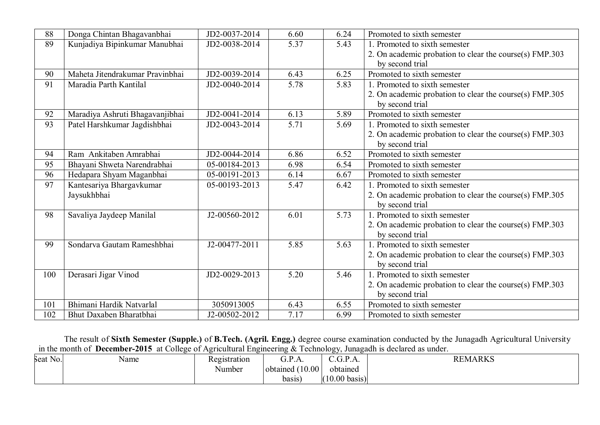| 88              | Donga Chintan Bhagavanbhai      | JD2-0037-2014 | 6.60 | 6.24 | Promoted to sixth semester                              |
|-----------------|---------------------------------|---------------|------|------|---------------------------------------------------------|
| 89              | Kunjadiya Bipinkumar Manubhai   | JD2-0038-2014 | 5.37 | 5.43 | 1. Promoted to sixth semester                           |
|                 |                                 |               |      |      | 2. On academic probation to clear the course(s) FMP.303 |
|                 |                                 |               |      |      | by second trial                                         |
| 90              | Maheta Jitendrakumar Pravinbhai | JD2-0039-2014 | 6.43 | 6.25 | Promoted to sixth semester                              |
| 91              | Maradia Parth Kantilal          | JD2-0040-2014 | 5.78 | 5.83 | 1. Promoted to sixth semester                           |
|                 |                                 |               |      |      | 2. On academic probation to clear the course(s) FMP.305 |
|                 |                                 |               |      |      | by second trial                                         |
| 92              | Maradiya Ashruti Bhagavanjibhai | JD2-0041-2014 | 6.13 | 5.89 | Promoted to sixth semester                              |
| $\overline{93}$ | Patel Harshkumar Jagdishbhai    | JD2-0043-2014 | 5.71 | 5.69 | 1. Promoted to sixth semester                           |
|                 |                                 |               |      |      | 2. On academic probation to clear the course(s) FMP.303 |
|                 |                                 |               |      |      | by second trial                                         |
| 94              | Ram Ankitaben Amrabhai          | JD2-0044-2014 | 6.86 | 6.52 | Promoted to sixth semester                              |
| 95              | Bhayani Shweta Narendrabhai     | 05-00184-2013 | 6.98 | 6.54 | Promoted to sixth semester                              |
| 96              | Hedapara Shyam Maganbhai        | 05-00191-2013 | 6.14 | 6.67 | Promoted to sixth semester                              |
| 97              | Kantesariya Bhargavkumar        | 05-00193-2013 | 5.47 | 6.42 | 1. Promoted to sixth semester                           |
|                 | Jaysukhbhai                     |               |      |      | 2. On academic probation to clear the course(s) FMP.305 |
|                 |                                 |               |      |      | by second trial                                         |
| 98              | Savaliya Jaydeep Manilal        | J2-00560-2012 | 6.01 | 5.73 | 1. Promoted to sixth semester                           |
|                 |                                 |               |      |      | 2. On academic probation to clear the course(s) FMP.303 |
|                 |                                 |               |      |      | by second trial                                         |
| 99              | Sondarva Gautam Rameshbhai      | J2-00477-2011 | 5.85 | 5.63 | 1. Promoted to sixth semester                           |
|                 |                                 |               |      |      | 2. On academic probation to clear the course(s) FMP.303 |
|                 |                                 |               |      |      | by second trial                                         |
| 100             | Derasari Jigar Vinod            | JD2-0029-2013 | 5.20 | 5.46 | 1. Promoted to sixth semester                           |
|                 |                                 |               |      |      | 2. On academic probation to clear the course(s) FMP.303 |
|                 |                                 |               |      |      | by second trial                                         |
| 101             | Bhimani Hardik Natvarlal        | 3050913005    | 6.43 | 6.55 | Promoted to sixth semester                              |
| 102             | Bhut Daxaben Bharatbhai         | J2-00502-2012 | 7.17 | 6.99 | Promoted to sixth semester                              |

The result of **Sixth Semester (Supple.)** of **B.Tech. (Agril. Engg.)** degree course examination conducted by the Junagadh Agricultural University in the month of **December-2015** at College of Agricultural Engineering & Technology, Junagadh is declared as under.

| Seat No. | Name | $\mathbf{r}$<br>Registration | $\sim$<br>$\mathbf{r}$<br>U.L<br>3.1.1.1 | $\mathbf{R}$<br>$\sim$<br><u>. .</u><br>. | <b>REMARKS</b> |
|----------|------|------------------------------|------------------------------------------|-------------------------------------------|----------------|
|          |      | Number                       | $10.00^+$<br>(10)<br>obtained            | . .<br>obtained                           |                |
|          |      |                              | basis                                    | (10.00)<br>$\log_{15}$                    |                |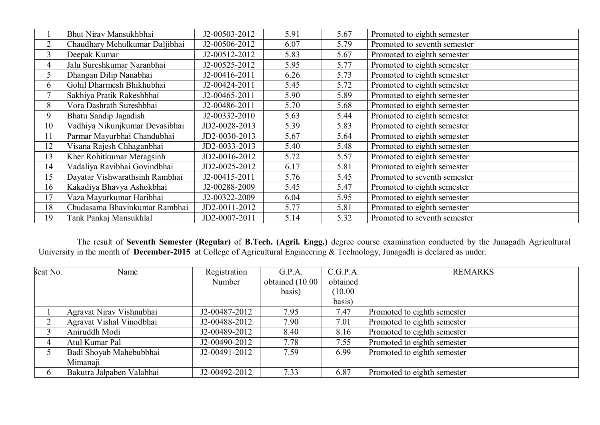|                | Bhut Nirav Mansukhbhai         | J2-00503-2012 | 5.91 | 5.67 | Promoted to eighth semester  |
|----------------|--------------------------------|---------------|------|------|------------------------------|
| $\overline{2}$ | Chaudhary Mehulkumar Daljibhai | J2-00506-2012 | 6.07 | 5.79 | Promoted to seventh semester |
| 3              | Deepak Kumar                   | J2-00512-2012 | 5.83 | 5.67 | Promoted to eighth semester  |
| $\overline{4}$ | Jalu Sureshkumar Naranbhai     | J2-00525-2012 | 5.95 | 5.77 | Promoted to eighth semester  |
| 5              | Dhangan Dilip Nanabhai         | J2-00416-2011 | 6.26 | 5.73 | Promoted to eighth semester  |
| 6              | Gohil Dharmesh Bhikhubhai      | J2-00424-2011 | 5.45 | 5.72 | Promoted to eighth semester  |
| 7              | Sakhiya Pratik Rakeshbhai      | J2-00465-2011 | 5.90 | 5.89 | Promoted to eighth semester  |
| 8              | Vora Dashrath Sureshbhai       | J2-00486-2011 | 5.70 | 5.68 | Promoted to eighth semester  |
| 9              | Bhatu Sandip Jagadish          | J2-00332-2010 | 5.63 | 5.44 | Promoted to eighth semester  |
| 10             | Vadhiya Nikunjkumar Devasibhai | JD2-0028-2013 | 5.39 | 5.83 | Promoted to eighth semester  |
| 11             | Parmar Mayurbhai Chandubhai    | JD2-0030-2013 | 5.67 | 5.64 | Promoted to eighth semester  |
| 12             | Visana Rajesh Chhaganbhai      | JD2-0033-2013 | 5.40 | 5.48 | Promoted to eighth semester  |
| 13             | Kher Rohitkumar Meragsinh      | JD2-0016-2012 | 5.72 | 5.57 | Promoted to eighth semester  |
| 14             | Vadaliya Ravibhai Govindbhai   | JD2-0025-2012 | 6.17 | 5.81 | Promoted to eighth semester  |
| 15             | Dayatar Vishwarathsinh Rambhai | J2-00415-2011 | 5.76 | 5.45 | Promoted to seventh semester |
| 16             | Kakadiya Bhavya Ashokbhai      | J2-00288-2009 | 5.45 | 5.47 | Promoted to eighth semester  |
| 17             | Vaza Mayurkumar Haribhai       | J2-00322-2009 | 6.04 | 5.95 | Promoted to eighth semester  |
| 18             | Chudasama Bhavinkumar Rambhai  | JD2-0011-2012 | 5.77 | 5.81 | Promoted to eighth semester  |
| 19             | Tank Pankaj Mansukhlal         | JD2-0007-2011 | 5.14 | 5.32 | Promoted to seventh semester |

 The result of **Seventh Semester (Regular)** of **B.Tech. (Agril. Engg.)** degree course examination conducted by the Junagadh Agricultural University in the month of **December-2015** at College of Agricultural Engineering & Technology, Junagadh is declared as under.

| Seat No. | Name                      | Registration  | G.P.A.          | C.G.P.A. | <b>REMARKS</b>              |
|----------|---------------------------|---------------|-----------------|----------|-----------------------------|
|          |                           | Number        | obtained (10.00 | obtained |                             |
|          |                           |               | basis)          | (10.00)  |                             |
|          |                           |               |                 | basis)   |                             |
|          | Agravat Nirav Vishnubhai  | J2-00487-2012 | 7.95            | 7.47     | Promoted to eighth semester |
|          | Agravat Vishal Vinodbhai  | J2-00488-2012 | 7.90            | 7.01     | Promoted to eighth semester |
|          | Aniruddh Modi             | J2-00489-2012 | 8.40            | 8.16     | Promoted to eighth semester |
|          | Atul Kumar Pal            | J2-00490-2012 | 7.78            | 7.55     | Promoted to eighth semester |
|          | Badi Shoyab Mahebubbhai   | J2-00491-2012 | 7.59            | 6.99     | Promoted to eighth semester |
|          | Mimanaji                  |               |                 |          |                             |
|          | Bakutra Jalpaben Valabhai | J2-00492-2012 | 7.33            | 6.87     | Promoted to eighth semester |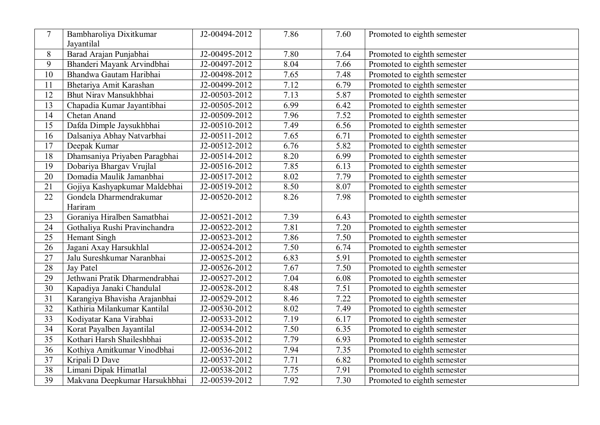| $\tau$          | Bambharoliya Dixitkumar        | J2-00494-2012 | 7.86 | 7.60              | Promoted to eighth semester |
|-----------------|--------------------------------|---------------|------|-------------------|-----------------------------|
|                 | Jayantilal                     |               |      |                   |                             |
| $8\,$           | Barad Arajan Punjabhai         | J2-00495-2012 | 7.80 | 7.64              | Promoted to eighth semester |
| 9               | Bhanderi Mayank Arvindbhai     | J2-00497-2012 | 8.04 | 7.66              | Promoted to eighth semester |
| 10              | Bhandwa Gautam Haribhai        | J2-00498-2012 | 7.65 | 7.48              | Promoted to eighth semester |
| 11              | Bhetariya Amit Karashan        | J2-00499-2012 | 7.12 | 6.79              | Promoted to eighth semester |
| 12              | Bhut Nirav Mansukhbhai         | J2-00503-2012 | 7.13 | 5.87              | Promoted to eighth semester |
| 13              | Chapadia Kumar Jayantibhai     | J2-00505-2012 | 6.99 | 6.42              | Promoted to eighth semester |
| 14              | <b>Chetan Anand</b>            | J2-00509-2012 | 7.96 | 7.52              | Promoted to eighth semester |
| 15              | Dafda Dimple Jaysukhbhai       | J2-00510-2012 | 7.49 | 6.56              | Promoted to eighth semester |
| 16              | Dalsaniya Abhay Natvarbhai     | J2-00511-2012 | 7.65 | 6.71              | Promoted to eighth semester |
| $\overline{17}$ | Deepak Kumar                   | J2-00512-2012 | 6.76 | 5.82              | Promoted to eighth semester |
| 18              | Dhamsaniya Priyaben Paragbhai  | J2-00514-2012 | 8.20 | 6.99              | Promoted to eighth semester |
| 19              | Dobariya Bhargav Vrujlal       | J2-00516-2012 | 7.85 | 6.13              | Promoted to eighth semester |
| $\overline{20}$ | Domadia Maulik Jamanbhai       | J2-00517-2012 | 8.02 | 7.79              | Promoted to eighth semester |
| 21              | Gojiya Kashyapkumar Maldebhai  | J2-00519-2012 | 8.50 | 8.07              | Promoted to eighth semester |
| 22              | Gondela Dharmendrakumar        | J2-00520-2012 | 8.26 | 7.98              | Promoted to eighth semester |
|                 | Hariram                        |               |      |                   |                             |
| 23              | Goraniya Hiralben Samatbhai    | J2-00521-2012 | 7.39 | 6.43              | Promoted to eighth semester |
| 24              | Gothaliya Rushi Pravinchandra  | J2-00522-2012 | 7.81 | 7.20              | Promoted to eighth semester |
| 25              | Hemant Singh                   | J2-00523-2012 | 7.86 | 7.50              | Promoted to eighth semester |
| 26              | Jagani Axay Harsukhlal         | J2-00524-2012 | 7.50 | 6.74              | Promoted to eighth semester |
| 27              | Jalu Sureshkumar Naranbhai     | J2-00525-2012 | 6.83 | 5.91              | Promoted to eighth semester |
| 28              | <b>Jay Patel</b>               | J2-00526-2012 | 7.67 | 7.50              | Promoted to eighth semester |
| 29              | Jethwani Pratik Dharmendrabhai | J2-00527-2012 | 7.04 | 6.08              | Promoted to eighth semester |
| $\overline{30}$ | Kapadiya Janaki Chandulal      | J2-00528-2012 | 8.48 | 7.51              | Promoted to eighth semester |
| $\overline{31}$ | Karangiya Bhavisha Arajanbhai  | J2-00529-2012 | 8.46 | 7.22              | Promoted to eighth semester |
| $\overline{32}$ | Kathiria Milankumar Kantilal   | J2-00530-2012 | 8.02 | 7.49              | Promoted to eighth semester |
| 33              | Kodiyatar Kana Virabhai        | J2-00533-2012 | 7.19 | 6.17              | Promoted to eighth semester |
| $\overline{34}$ | Korat Payalben Jayantilal      | J2-00534-2012 | 7.50 | 6.35              | Promoted to eighth semester |
| $\overline{35}$ | Kothari Harsh Shaileshbhai     | J2-00535-2012 | 7.79 | 6.93              | Promoted to eighth semester |
| $\overline{36}$ | Kothiya Amitkumar Vinodbhai    | J2-00536-2012 | 7.94 | 7.35              | Promoted to eighth semester |
| $\overline{37}$ | Kripali D Dave                 | J2-00537-2012 | 7.71 | $6.\overline{82}$ | Promoted to eighth semester |
| 38              | Limani Dipak Himatlal          | J2-00538-2012 | 7.75 | 7.91              | Promoted to eighth semester |
| 39              | Makvana Deepkumar Harsukhbhai  | J2-00539-2012 | 7.92 | 7.30              | Promoted to eighth semester |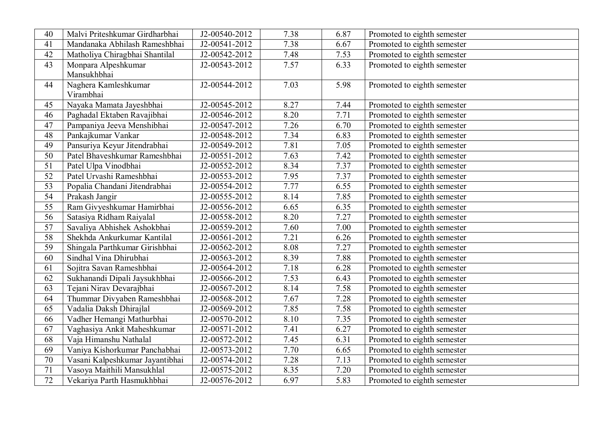| 40              | Malvi Priteshkumar Girdharbhai  | J2-00540-2012 | 7.38 | 6.87 | Promoted to eighth semester |
|-----------------|---------------------------------|---------------|------|------|-----------------------------|
| 41              | Mandanaka Abhilash Rameshbhai   | J2-00541-2012 | 7.38 | 6.67 | Promoted to eighth semester |
| $\overline{42}$ | Matholiya Chiragbhai Shantilal  | J2-00542-2012 | 7.48 | 7.53 | Promoted to eighth semester |
| 43              | Monpara Alpeshkumar             | J2-00543-2012 | 7.57 | 6.33 | Promoted to eighth semester |
|                 | Mansukhbhai                     |               |      |      |                             |
| 44              | Naghera Kamleshkumar            | J2-00544-2012 | 7.03 | 5.98 | Promoted to eighth semester |
|                 | Virambhai                       |               |      |      |                             |
| 45              | Nayaka Mamata Jayeshbhai        | J2-00545-2012 | 8.27 | 7.44 | Promoted to eighth semester |
| 46              | Paghadal Ektaben Ravajibhai     | J2-00546-2012 | 8.20 | 7.71 | Promoted to eighth semester |
| 47              | Pampaniya Jeeva Menshibhai      | J2-00547-2012 | 7.26 | 6.70 | Promoted to eighth semester |
| 48              | Pankajkumar Vankar              | J2-00548-2012 | 7.34 | 6.83 | Promoted to eighth semester |
| 49              | Pansuriya Keyur Jitendrabhai    | J2-00549-2012 | 7.81 | 7.05 | Promoted to eighth semester |
| 50              | Patel Bhaveshkumar Rameshbhai   | J2-00551-2012 | 7.63 | 7.42 | Promoted to eighth semester |
| $\overline{51}$ | Patel Ulpa Vinodbhai            | J2-00552-2012 | 8.34 | 7.37 | Promoted to eighth semester |
| 52              | Patel Urvashi Rameshbhai        | J2-00553-2012 | 7.95 | 7.37 | Promoted to eighth semester |
| $\overline{53}$ | Popalia Chandani Jitendrabhai   | J2-00554-2012 | 7.77 | 6.55 | Promoted to eighth semester |
| $\overline{54}$ | Prakash Jangir                  | J2-00555-2012 | 8.14 | 7.85 | Promoted to eighth semester |
| $\overline{55}$ | Ram Givyeshkumar Hamirbhai      | J2-00556-2012 | 6.65 | 6.35 | Promoted to eighth semester |
| $\overline{56}$ | Satasiya Ridham Raiyalal        | J2-00558-2012 | 8.20 | 7.27 | Promoted to eighth semester |
| 57              | Savaliya Abhishek Ashokbhai     | J2-00559-2012 | 7.60 | 7.00 | Promoted to eighth semester |
| 58              | Shekhda Ankurkumar Kantilal     | J2-00561-2012 | 7.21 | 6.26 | Promoted to eighth semester |
| 59              | Shingala Parthkumar Girishbhai  | J2-00562-2012 | 8.08 | 7.27 | Promoted to eighth semester |
| 60              | Sindhal Vina Dhirubhai          | J2-00563-2012 | 8.39 | 7.88 | Promoted to eighth semester |
| 61              | Sojitra Savan Rameshbhai        | J2-00564-2012 | 7.18 | 6.28 | Promoted to eighth semester |
| 62              | Sukhanandi Dipali Jaysukhbhai   | J2-00566-2012 | 7.53 | 6.43 | Promoted to eighth semester |
| $\overline{63}$ | Tejani Nirav Devarajbhai        | J2-00567-2012 | 8.14 | 7.58 | Promoted to eighth semester |
| 64              | Thummar Divyaben Rameshbhai     | J2-00568-2012 | 7.67 | 7.28 | Promoted to eighth semester |
| 65              | Vadalia Daksh Dhirajlal         | J2-00569-2012 | 7.85 | 7.58 | Promoted to eighth semester |
| 66              | Vadher Hemangi Mathurbhai       | J2-00570-2012 | 8.10 | 7.35 | Promoted to eighth semester |
| 67              | Vaghasiya Ankit Maheshkumar     | J2-00571-2012 | 7.41 | 6.27 | Promoted to eighth semester |
| 68              | Vaja Himanshu Nathalal          | J2-00572-2012 | 7.45 | 6.31 | Promoted to eighth semester |
| 69              | Vaniya Kishorkumar Panchabhai   | J2-00573-2012 | 7.70 | 6.65 | Promoted to eighth semester |
| 70              | Vasani Kalpeshkumar Jayantibhai | J2-00574-2012 | 7.28 | 7.13 | Promoted to eighth semester |
| 71              | Vasoya Maithili Mansukhlal      | J2-00575-2012 | 8.35 | 7.20 | Promoted to eighth semester |
| 72              | Vekariya Parth Hasmukhbhai      | J2-00576-2012 | 6.97 | 5.83 | Promoted to eighth semester |